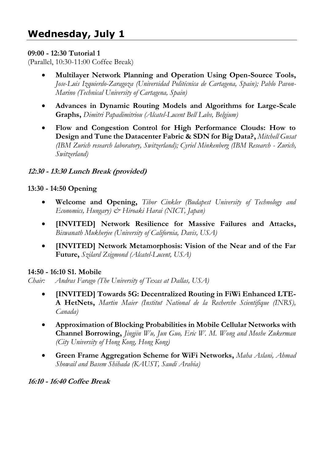# **09:00 - 12:30 Tutorial 1**

(Parallel, 10:30-11:00 Coffee Break)

- **Multilayer Network Planning and Operation Using Open-Source Tools,** *Jose-Luis Izquierdo-Zaragoza (Universidad Politécnica de Cartagena, Spain); Pablo Pavon-Marino (Technical University of Cartagena, Spain)*
- **Advances in Dynamic Routing Models and Algorithms for Large-Scale Graphs,** *Dimitri Papadimitriou (Alcatel-Lucent Bell Labs, Belgium)*
- **Flow and Congestion Control for High Performance Clouds: How to Design and Tune the Datacenter Fabric & SDN for Big Data?,** *Mitchell Gusat (IBM Zurich research laboratory, Switzerland); Cyriel Minkenberg (IBM Research - Zurich, Switzerland)*

# **12:30 - 13:30 Lunch Break (provided)**

# **13:30 - 14:50 Opening**

- **Welcome and Opening,** *Tibor Cinkler (Budapest University of Technology and Economics, Hungary) & Hiroaki Harai (NICT, Japan)*
- **[INVITED] Network Resilience for Massive Failures and Attacks,** *Biswanath Mukherjee (University of California, Davis, USA)*
- **[INVITED] Network Metamorphosis: Vision of the Near and of the Far Future,** *Szilard Zsigmond (Alcatel-Lucent, USA)*

#### **14:50 - 16:10 S1. Mobile**

*Chair: Andras Farago (The University of Texas at Dallas, USA)* 

- **[INVITED] Towards 5G: Decentralized Routing in FiWi Enhanced LTE-A HetNets,** *Martin Maier (Institut National de la Recherche Scientifique (INRS), Canada)*
- **Approximation of Blocking Probabilities in Mobile Cellular Networks with Channel Borrowing,** *Jingjin Wu, Jun Guo, Eric W. M. Wong and Moshe Zukerman (City University of Hong Kong, Hong Kong)*
- **Green Frame Aggregation Scheme for WiFi Networks,** *Maha Aslani, Ahmad Showail and Basem Shihada (KAUST, Saudi Arabia)*

**16:10 - 16:40 Coffee Break**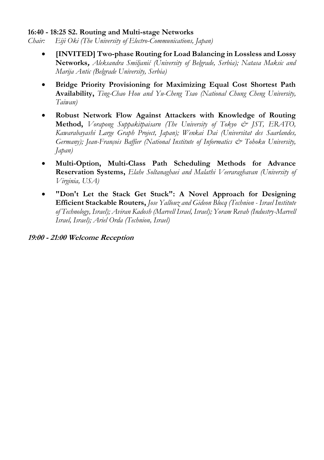#### **16:40 - 18:25 S2. Routing and Multi-stage Networks**

*Chair: Eiji Oki (The University of Electro-Communications, Japan)* 

- **[INVITED] Two-phase Routing for Load Balancing in Lossless and Lossy Networks,** *Aleksandra Smiljanić (University of Belgrade, Serbia); Natasa Maksic and Marija Antic (Belgrade University, Serbia)*
- **Bridge Priority Provisioning for Maximizing Equal Cost Shortest Path Availability,** *Ting-Chao Hou and Yu-Cheng Tsao (National Chung Cheng University, Taiwan)*
- **Robust Network Flow Against Attackers with Knowledge of Routing Method,** *Vorapong Suppakitpaisarn (The University of Tokyo & JST, ERATO, Kawarabayashi Large Graph Project, Japan); Wenkai Dai (Universitat des Saarlandes, Germany); Jean-François Baffier (National Institute of Informatics & Tohoku University, Japan)*
- **Multi-Option, Multi-Class Path Scheduling Methods for Advance Reservation Systems,** *Elahe Soltanaghaei and Malathi Veeraraghavan (University of Virginia, USA)*
- **"Don't Let the Stack Get Stuck": A Novel Approach for Designing Efficient Stackable Routers,** *Jose Yallouz and Gideon Blocq (Technion - Israel Institute of Technology, Israel); Aviran Kadosh (Marvell Israel, Israel); Yoram Revah (Industry-Marvell Israel, Israel); Ariel Orda (Technion, Israel)*

**19:00 - 21:00 Welcome Reception**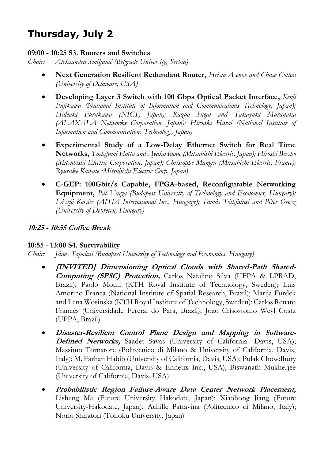# **Thursday, July 2**

#### **09:00 - 10:25 S3. Routers and Switches**

*Chair: Aleksandra Smiljanić (Belgrade University, Serbia)*

- **Next Generation Resilient Redundant Router,** *Hristo Asenov and Chase Cotton (University of Delaware, USA)*
- **Developing Layer 3 Switch with 100 Gbps Optical Packet Interface,** *Kenji Fujikawa (National Institute of Information and Communications Technology, Japan); Hideaki Furukawa (NICT, Japan); Kazuo Sugai and Takayuki Muranaka (ALAXALA Networks Corporation, Japan); Hiroaki Harai (National Institute of Information and Communications Technology, Japan)*
- **Experimental Study of a Low-Delay Ethernet Switch for Real Time Networks,** *Yoshifumi Hotta and Ayako Inoue (Mitsubishi Electric, Japan); Hiroshi Bessho (Mitsubishi Electric Corporation, Japan); Christophe Mangin (Mitsubishi Electric, France); Ryusuke Kawate (Mitsubishi Electric Corp, Japan)*
- **C-GEP: 100Gbit/s Capable, FPGA-based, Reconfigurable Networking Equipment,** *Pál Varga (Budapest University of Technology and Economics, Hungary); László Kovács (AITIA International Inc., Hungary); Tamás Tóthfalusi and Péter Orosz (University of Debrecen, Hungary)*

#### **10:25 - 10:55 Coffee Break**

#### **10:55 - 13:00 S4. Survivability**

*Chair: János Tapolcai (Budapest University of Technology and Economics, Hungary)* 

- **[INVITED] Dimensioning Optical Clouds with Shared-Path Shared-Computing (SPSC) Protection,** Carlos Natalino Silva (UFPA & LPRAD, Brazil); Paolo Monti (KTH Royal Institute of Technology, Sweden); Luis Amorino Franca (National Institute of Spatial Research, Brazil); Marija Furdek and Lena Wosinska (KTH Royal Institute of Technology, Sweden); Carlos Renato Francês (Universidade Fereral do Para, Brazil); Joao Crisostomo Weyl Costa (UFPA, Brazil)
- **Disaster-Resilient Control Plane Design and Mapping in Software-Defined Networks,** Saadet Savas (University of California- Davis, USA); Massimo Tornatore (Politecnico di Milano & University of California, Davis, Italy); M. Farhan Habib (University of California, Davis, USA); Pulak Chowdhury (University of California, Davis & Ennetix Inc., USA); Biswanath Mukherjee (University of California, Davis, USA)
- **Probabilistic Region Failure-Aware Data Center Network Placement,**  Lisheng Ma (Future University Hakodate, Japan); Xiaohong Jiang (Future University-Hakodate, Japan); Achille Pattavina (Politecnico di Milano, Italy); Norio Shiratori (Tohoku University, Japan)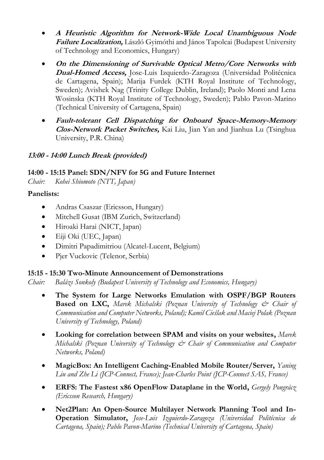- **A Heuristic Algorithm for Network-Wide Local Unambiguous Node Failure Localization,** László Gyimóthi and János Tapolcai (Budapest University of Technology and Economics, Hungary)
- **On the Dimensioning of Survivable Optical Metro/Core Networks with Dual-Homed Access,** Jose-Luis Izquierdo-Zaragoza (Universidad Politécnica de Cartagena, Spain); Marija Furdek (KTH Royal Institute of Technology, Sweden); Avishek Nag (Trinity College Dublin, Ireland); Paolo Monti and Lena Wosinska (KTH Royal Institute of Technology, Sweden); Pablo Pavon-Marino (Technical University of Cartagena, Spain)
- **Fault-tolerant Cell Dispatching for Onboard Space-Memory-Memory Clos-Network Packet Switches,** Kai Liu, Jian Yan and Jianhua Lu (Tsinghua University, P.R. China)

# **13:00 - 14:00 Lunch Break (provided)**

# **14:00 - 15:15 Panel: SDN/NFV for 5G and Future Internet**

*Chair: Kohei Shiomoto (NTT, Japan)* 

# **Panelists:**

- Andras Csaszar (Ericsson, Hungary)
- Mitchell Gusat (IBM Zurich, Switzerland)
- Hiroaki Harai (NICT, Japan)
- Eiji Oki (UEC, Japan)
- Dimitri Papadimitriou (Alcatel-Lucent, Belgium)
- Pjer Vuckovic (Telenor, Serbia)

#### **15:15 - 15:30 Two-Minute Announcement of Demonstrations**

*Chair: Balázs Sonkoly (Budapest University of Technology and Economics, Hungary)* 

- **The System for Large Networks Emulation with OSPF/BGP Routers Based on LXC,** *Marek Michalski (Poznan University of Technology & Chair of Communication and Computer Networks, Poland); Kamil Cieślak and Maciej Polak (Poznan University of Technology, Poland)*
- **Looking for correlation between SPAM and visits on your websites,** *Marek Michalski (Poznan University of Technology & Chair of Communication and Computer Networks, Poland)*
- **MagicBox: An Intelligent Caching-Enabled Mobile Router/Server,** *Yaning Liu and Zhe Li (JCP-Connect, France); Jean-Charles Point (JCP-Connect SAS, France)*
- **ERFS: The Fastest x86 OpenFlow Dataplane in the World,** *Gergely Pongrácz (Ericsson Research, Hungary)*
- **Net2Plan: An Open-Source Multilayer Network Planning Tool and In-Operation Simulator,** *Jose-Luis Izquierdo-Zaragoza (Universidad Politécnica de Cartagena, Spain); Pablo Pavon-Marino (Technical University of Cartagena, Spain)*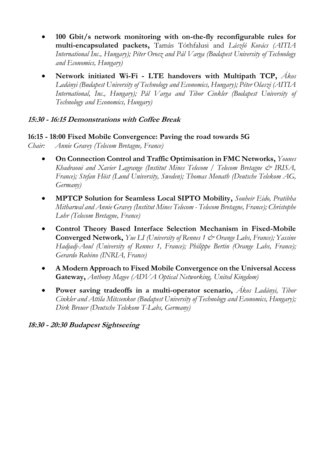- **100 Gbit/s network monitoring with on-the-fly reconfigurable rules for multi-encapsulated packets,** Tamás Tóthfalusi and *László Kovács (AITIA International Inc., Hungary); Péter Orosz and Pál Varga (Budapest University of Technology and Economics, Hungary)*
- **Network initiated Wi-Fi LTE handovers with Multipath TCP,** *Ákos Ladányi (Budapest University of Technology and Economics, Hungary); Péter Olaszi (AITIA International, Inc., Hungary); Pál Varga and Tibor Cinkler (Budapest University of Technology and Economics, Hungary)*

#### **15:30 - 16:15 Demonstrations with Coffee Break**

#### **16:15 - 18:00 Fixed Mobile Convergence: Paving the road towards 5G**

- *Chair: Annie Gravey (Telecom Bretagne, France)* 
	- **On Connection Control and Traffic Optimisation in FMC Networks,** *Younes Khadraoui and Xavier Lagrange (Institut Mines Telecom / Telecom Bretagne & IRISA, France); Stefan Höst (Lund University, Sweden); Thomas Monath (Deutsche Telekom AG, Germany)*
	- **MPTCP Solution for Seamless Local SIPTO Mobility,** *Souheir Eido, Pratibha Mitharwal and Annie Gravey (Institut Mines Telecom - Telecom Bretagne, France); Christophe Lohr (Telecom Bretagne, France)*
	- **Control Theory Based Interface Selection Mechanism in Fixed-Mobile Converged Network,** *Yue LI (University of Rennes 1 & Orange Labs, France); Yassine Hadjadj-Aoul (University of Rennes 1, France); Philippe Bertin (Orange Labs, France); Gerardo Rubino (INRIA, France)*
	- **A Modern Approach to Fixed Mobile Convergence on the Universal Access Gateway,** *Anthony Magee (ADVA Optical Networking, United Kingdom)*
	- **Power saving tradeoffs in a multi-operator scenario,** *Ákos Ladányi, Tibor Cinkler and Attila Mitcsenkov (Budapest University of Technology and Economics, Hungary); Dirk Breuer (Deutsche Telekom T-Labs, Germany)*

#### **18:30 - 20:30 Budapest Sightseeing**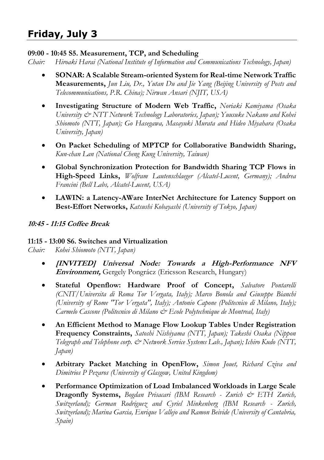#### **09:00 - 10:45 S5. Measurement, TCP, and Scheduling**

*Chair: Hiroaki Harai (National Institute of Information and Communications Technology, Japan)* 

- **SONAR: A Scalable Stream-oriented System for Real-time Network Traffic Measurements,** *Jun Liu, Dr., Yutan Du and Jie Yang (Beijing University of Posts and Telecommunications, P.R. China); Nirwan Ansari (NJIT, USA)*
- **Investigating Structure of Modern Web Traffic,** *Noriaki Kamiyama (Osaka University & NTT Network Technology Laboratories, Japan); Yuusuke Nakano and Kohei Shiomoto (NTT, Japan); Go Hasegawa, Masayuki Murata and Hideo Miyahara (Osaka University, Japan)*
- **On Packet Scheduling of MPTCP for Collaborative Bandwidth Sharing,** *Kun-chan Lan (National Cheng Kung University, Taiwan)*
- **Global Synchronization Protection for Bandwidth Sharing TCP Flows in High-Speed Links,** *Wolfram Lautenschlaeger (Alcatel-Lucent, Germany); Andrea Francini (Bell Labs, Alcatel-Lucent, USA)*
- **LAWIN: a Latency-AWare InterNet Architecture for Latency Support on Best-Effort Networks,** *Katsushi Kobayashi (University of Tokyo, Japan)*

# **10:45 - 11:15 Coffee Break**

#### **11:15 - 13:00 S6. Switches and Virtualization**

*Chair: Kohei Shiomoto (NTT, Japan)* 

- **[INVITED] Universal Node: Towards a High-Performance NFV Environment,** Gergely Pongrácz (Ericsson Research, Hungary)
- **Stateful Openflow: Hardware Proof of Concept,** *Salvatore Pontarelli (CNIT/Universita di Roma Tor Vergata, Italy); Marco Bonola and Giuseppe Bianchi (University of Rome "Tor Vergata", Italy); Antonio Capone (Politecnico di Milano, Italy); Carmelo Cascone (Politecnico di Milano & Ecole Polytechnique de Montreal, Italy)*
- **An Efficient Method to Manage Flow Lookup Tables Under Registration Frequency Constraints,** *Satoshi Nishiyama (NTT, Japan); Takeshi Osaka (Nippon Telegraph and Telephone corp. & Network Service Systems Lab., Japan); Ichiro Kudo (NTT, Japan)*
- **Arbitrary Packet Matching in OpenFlow,** *Simon Jouet, Richard Cziva and Dimitrios P Pezaros (University of Glasgow, United Kingdom)*
- **Performance Optimization of Load Imbalanced Workloads in Large Scale Dragonfly Systems,** *Bogdan Prisacari (IBM Research - Zurich & ETH Zurich, Switzerland); German Rodriguez and Cyriel Minkenberg (IBM Research - Zurich, Switzerland); Marina Garcia, Enrique Vallejo and Ramon Beivide (University of Cantabria, Spain)*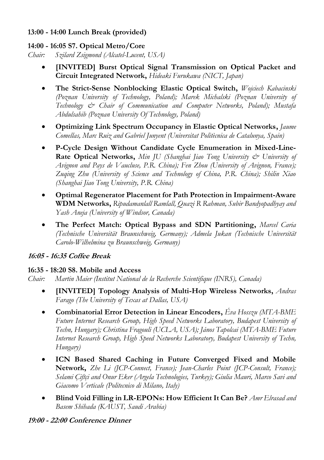# **13:00 - 14:00 Lunch Break (provided)**

# **14:00 - 16:05 S7. Optical Metro/Core**

*Chair: Szilard Zsigmond (Alcatel-Lucent, USA)* 

- **[INVITED] Burst Optical Signal Transmission on Optical Packet and Circuit Integrated Network,** *Hideaki Furukawa (NICT, Japan)*
- **The Strict-Sense Nonblocking Elastic Optical Switch,** *Wojciech Kabacinski (Poznan University of Technology, Poland); Marek Michalski (Poznan University of Technology & Chair of Communication and Computer Networks, Poland); Mustafa Abdulsahib (Poznan University Of Technology, Poland)*
- **Optimizing Link Spectrum Occupancy in Elastic Optical Networks,** *Jaume Comellas, Marc Ruiz and Gabriel Junyent (Universitat Politècnica de Catalunya, Spain)*
- **P-Cycle Design Without Candidate Cycle Enumeration in Mixed-Line-Rate Optical Networks,** *Min JU (Shanghai Jiao Tong University & University of Avignon and Pays de Vaucluse, P.R. China); Fen Zhou (University of Avignon, France); Zuqing Zhu (University of Science and Technology of China, P.R. China); Shilin Xiao (Shanghai Jiao Tong University, P.R. China)*
- **Optimal Regenerator Placement for Path Protection in Impairment-Aware WDM Networks,** *Ripudamanlall Ramlall, Quazi R Rahman, Subir Bandyopadhyay and Yash Aneja (University of Windsor, Canada)*
- **The Perfect Match: Optical Bypass and SDN Partitioning,** *Marcel Caria (Technische Universität Braunschweig, Germany); Admela Jukan (Technische Universität Carolo-Wilhelmina zu Braunschweig, Germany)*

#### **16:05 - 16:35 Coffee Break**

#### **16:35 - 18:20 S8. Mobile and Access**

*Chair: Martin Maier (Institut National de la Recherche Scientifique (INRS), Canada)* 

- **[INVITED] Topology Analysis of Multi-Hop Wireless Networks,** *Andras Farago (The University of Texas at Dallas, USA)*
- **Combinatorial Error Detection in Linear Encoders,** *Éva Hosszu (MTA-BME Future Internet Research Group, High Speed Networks Laboratory, Budapest University of Techn, Hungary); Christina Fragouli (UCLA, USA); János Tapolcai (MTA-BME Future Internet Research Group, High Speed Networks Laboratory, Budapest University of Techn, Hungary)*
- **ICN Based Shared Caching in Future Converged Fixed and Mobile Network,** *Zhe Li (JCP-Connect, France); Jean-Charles Point (JCP-Consult, France); Selami Çiftçi and Onur Eker (Argela Technologies, Turkey); Giulia Mauri, Marco Savi and Giacomo Verticale (Politecnico di Milano, Italy)*
- **Blind Void Filling in LR-EPONs: How Efficient It Can Be?** *Amr Elrasad and Basem Shihada (KAUST, Saudi Arabia)*

# **19:00 - 22:00 Conference Dinner**